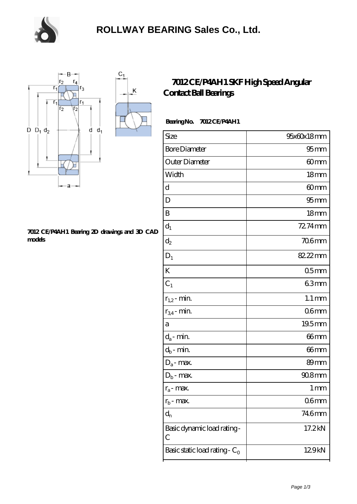

K



#### **[7012 CE/P4AH1 Bearing 2D drawings and 3D CAD](https://m.chooseyourcufflinks.com/pic-938547.html) [models](https://m.chooseyourcufflinks.com/pic-938547.html)**

### **[7012 CE/P4AH1 SKF High Speed Angular](https://m.chooseyourcufflinks.com/skf-bearing/7012-ce-p4ah1.html) [Contact Ball Bearings](https://m.chooseyourcufflinks.com/skf-bearing/7012-ce-p4ah1.html)**

### **Bearing No. 7012 CE/P4AH1**

| Size                             | 95x60x18mm          |
|----------------------------------|---------------------|
| <b>Bore Diameter</b>             | $95$ mm             |
| Outer Diameter                   | 60mm                |
| Width                            | 18 <sub>mm</sub>    |
| d                                | 60mm                |
| D                                | 95 <sub>mm</sub>    |
| B                                | 18 <sub>mm</sub>    |
| $d_1$                            | 72.74mm             |
| $d_2$                            | $706$ mm            |
| $D_1$                            | 82.22mm             |
| K                                | 05 <sub>mm</sub>    |
| $C_1$                            | 63mm                |
| $r_{1,2}$ - min.                 | $1.1 \,\mathrm{mm}$ |
| $r_{34}$ - min.                  | 06mm                |
| a                                | 19.5mm              |
| $d_a$ - min.                     | 66mm                |
| $d_b$ - min.                     | 66 <sub>mm</sub>    |
| $D_a$ - max.                     | 89 <sub>mm</sub>    |
| $D_b$ - max.                     | $908$ mm            |
| $r_a$ - max.                     | $1 \,\mathrm{mm}$   |
| $r_{b}$ - max.                   | 06 <sub>mm</sub>    |
| $d_{n}$                          | 746mm               |
| Basic dynamic load rating-<br>С  | 17.2kN              |
| Basic static load rating - $C_0$ | 129kN               |
|                                  |                     |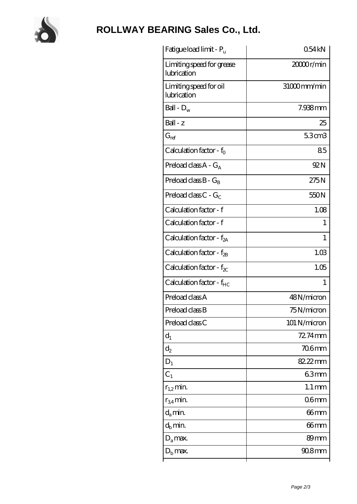

# **[ROLLWAY BEARING Sales Co., Ltd.](https://m.chooseyourcufflinks.com)**

| Fatigue load limit - P <sub>u</sub>      | 054kN                 |
|------------------------------------------|-----------------------|
| Limiting speed for grease<br>lubrication | 2000 <sub>r/min</sub> |
| Limiting speed for oil<br>lubrication    | 31000mm/min           |
| Ball - $D_w$                             | 7.938mm               |
| $Ball - z$                               | 25                    |
| $G_{ref}$                                | 5.3cm3                |
| Calculation factor - $f_0$               | 85                    |
| Preload class $A - G_A$                  | 92N                   |
| Preload class $B - G_R$                  | 275N                  |
| Preload class $C - G_C$                  | 550N                  |
| Calculation factor - f                   | 1.08                  |
| Calculation factor - f                   | 1                     |
| Calculation factor - $f_{2A}$            | 1                     |
| Calculation factor - $f_{2B}$            | 1.03                  |
| Calculation factor - $f_{\chi}$          | 1.05                  |
| Calculation factor - $f_{HC}$            | 1                     |
| Preload class A                          | 48N/micron            |
| Preload class B                          | 75N/micron            |
| Preload class C                          | 101 N/micron          |
| $d_1$                                    | $72.74$ mm            |
| $\mathrm{d}_2$                           | 706mm                 |
| $D_1$                                    | 82.22mm               |
| $C_1$                                    | 63mm                  |
| $r_{1,2}$ min.                           | $1.1 \,\mathrm{mm}$   |
| $r_{34}$ min.                            | 06 <sub>mm</sub>      |
| $d_a$ min.                               | $66$ mm               |
| $d_b$ min.                               | 66mm                  |
| $D_a$ max.                               | 89mm                  |
| $Db$ max.                                | $908$ mm              |
|                                          |                       |